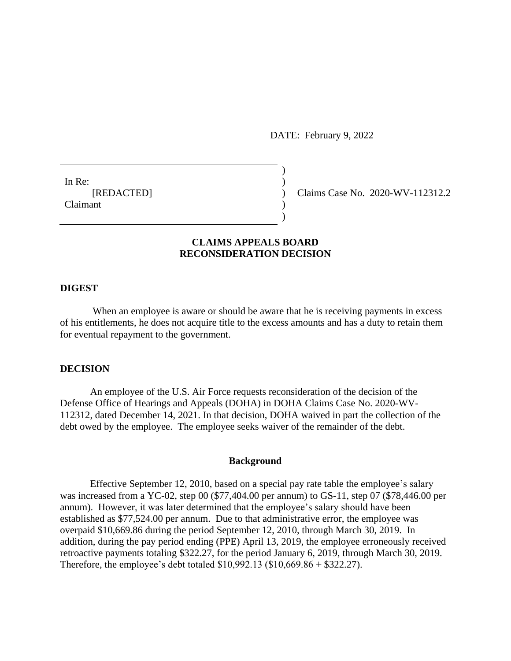DATE: February 9, 2022

In Re:  $\qquad \qquad$ ) Claimant (1988)

[REDACTED] ) Claims Case No. 2020-WV-112312.2

# **CLAIMS APPEALS BOARD RECONSIDERATION DECISION**

)

)

### **DIGEST**

When an employee is aware or should be aware that he is receiving payments in excess of his entitlements, he does not acquire title to the excess amounts and has a duty to retain them for eventual repayment to the government.

### **DECISION**

An employee of the U.S. Air Force requests reconsideration of the decision of the Defense Office of Hearings and Appeals (DOHA) in DOHA Claims Case No. 2020-WV-112312, dated December 14, 2021. In that decision, DOHA waived in part the collection of the debt owed by the employee. The employee seeks waiver of the remainder of the debt.

### **Background**

Effective September 12, 2010, based on a special pay rate table the employee's salary was increased from a YC-02, step 00 (\$77,404.00 per annum) to GS-11, step 07 (\$78,446.00 per annum). However, it was later determined that the employee's salary should have been established as \$77,524.00 per annum. Due to that administrative error, the employee was overpaid \$10,669.86 during the period September 12, 2010, through March 30, 2019. In addition, during the pay period ending (PPE) April 13, 2019, the employee erroneously received retroactive payments totaling \$322.27, for the period January 6, 2019, through March 30, 2019. Therefore, the employee's debt totaled \$10,992.13 (\$10,669.86 + \$322.27).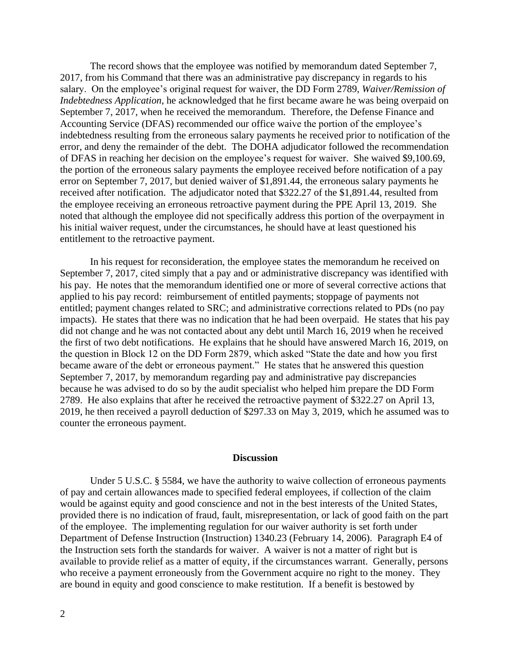The record shows that the employee was notified by memorandum dated September 7, 2017, from his Command that there was an administrative pay discrepancy in regards to his salary. On the employee's original request for waiver, the DD Form 2789, *Waiver/Remission of Indebtedness Application*, he acknowledged that he first became aware he was being overpaid on September 7, 2017, when he received the memorandum. Therefore, the Defense Finance and Accounting Service (DFAS) recommended our office waive the portion of the employee's indebtedness resulting from the erroneous salary payments he received prior to notification of the error, and deny the remainder of the debt. The DOHA adjudicator followed the recommendation of DFAS in reaching her decision on the employee's request for waiver. She waived \$9,100.69, the portion of the erroneous salary payments the employee received before notification of a pay error on September 7, 2017, but denied waiver of \$1,891.44, the erroneous salary payments he received after notification. The adjudicator noted that \$322.27 of the \$1,891.44, resulted from the employee receiving an erroneous retroactive payment during the PPE April 13, 2019. She noted that although the employee did not specifically address this portion of the overpayment in his initial waiver request, under the circumstances, he should have at least questioned his entitlement to the retroactive payment.

In his request for reconsideration, the employee states the memorandum he received on September 7, 2017, cited simply that a pay and or administrative discrepancy was identified with his pay. He notes that the memorandum identified one or more of several corrective actions that applied to his pay record: reimbursement of entitled payments; stoppage of payments not entitled; payment changes related to SRC; and administrative corrections related to PDs (no pay impacts). He states that there was no indication that he had been overpaid. He states that his pay did not change and he was not contacted about any debt until March 16, 2019 when he received the first of two debt notifications. He explains that he should have answered March 16, 2019, on the question in Block 12 on the DD Form 2879, which asked "State the date and how you first became aware of the debt or erroneous payment." He states that he answered this question September 7, 2017, by memorandum regarding pay and administrative pay discrepancies because he was advised to do so by the audit specialist who helped him prepare the DD Form 2789. He also explains that after he received the retroactive payment of \$322.27 on April 13, 2019, he then received a payroll deduction of \$297.33 on May 3, 2019, which he assumed was to counter the erroneous payment.

#### **Discussion**

Under [5 U.S.C. § 5584,](http://www.westlaw.com/Link/Document/FullText?findType=L&pubNum=1000546&cite=5USCAS5584&originatingDoc=Id51777f45b3411e598dc8b09b4f043e0&refType=LQ&originationContext=document&vr=3.0&rs=cblt1.0&transitionType=DocumentItem&contextData=(sc.Search)) we have the authority to waive collection of erroneous payments of pay and certain allowances made to specified federal employees, if collection of the claim would be against equity and good conscience and not in the best interests of the United States, provided there is no indication of fraud, fault, misrepresentation, or lack of good faith on the part of the employee. The implementing regulation for our waiver authority is set forth under Department of Defense Instruction (Instruction) 1340.23 (February 14, 2006). Paragraph E4 of the Instruction sets forth the standards for waiver. A waiver is not a matter of right but is available to provide relief as a matter of equity, if the circumstances warrant. Generally, persons who receive a payment erroneously from the Government acquire no right to the money. They are bound in equity and good conscience to make restitution. If a benefit is bestowed by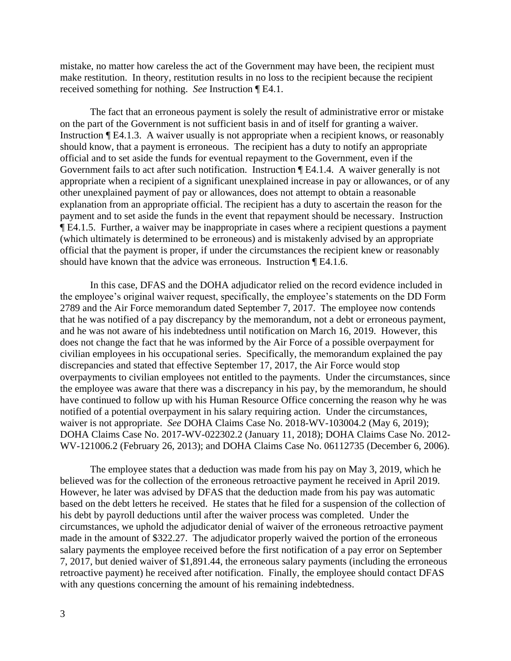mistake, no matter how careless the act of the Government may have been, the recipient must make restitution. In theory, restitution results in no loss to the recipient because the recipient received something for nothing. *See* Instruction ¶ E4.1.

The fact that an erroneous payment is solely the result of administrative error or mistake on the part of the Government is not sufficient basis in and of itself for granting a waiver. Instruction ¶ E4.1.3. A waiver usually is not appropriate when a recipient knows, or reasonably should know, that a payment is erroneous. The recipient has a duty to notify an appropriate official and to set aside the funds for eventual repayment to the Government, even if the Government fails to act after such notification. Instruction ¶ E4.1.4. A waiver generally is not appropriate when a recipient of a significant unexplained increase in pay or allowances, or of any other unexplained payment of pay or allowances, does not attempt to obtain a reasonable explanation from an appropriate official. The recipient has a duty to ascertain the reason for the payment and to set aside the funds in the event that repayment should be necessary. Instruction ¶ E4.1.5. Further, a waiver may be inappropriate in cases where a recipient questions a payment (which ultimately is determined to be erroneous) and is mistakenly advised by an appropriate official that the payment is proper, if under the circumstances the recipient knew or reasonably should have known that the advice was erroneous. Instruction ¶ E4.1.6.

In this case, DFAS and the DOHA adjudicator relied on the record evidence included in the employee's original waiver request, specifically, the employee's statements on the DD Form 2789 and the Air Force memorandum dated September 7, 2017. The employee now contends that he was notified of a pay discrepancy by the memorandum, not a debt or erroneous payment, and he was not aware of his indebtedness until notification on March 16, 2019. However, this does not change the fact that he was informed by the Air Force of a possible overpayment for civilian employees in his occupational series. Specifically, the memorandum explained the pay discrepancies and stated that effective September 17, 2017, the Air Force would stop overpayments to civilian employees not entitled to the payments. Under the circumstances, since the employee was aware that there was a discrepancy in his pay, by the memorandum, he should have continued to follow up with his Human Resource Office concerning the reason why he was notified of a potential overpayment in his salary requiring action. Under the circumstances, waiver is not appropriate. *See* DOHA Claims Case No. 2018-WV-103004.2 (May 6, 2019); DOHA Claims Case No. 2017-WV-022302.2 (January 11, 2018); DOHA Claims Case No. 2012- WV-121006.2 (February 26, 2013); and DOHA Claims Case No. 06112735 (December 6, 2006).

The employee states that a deduction was made from his pay on May 3, 2019, which he believed was for the collection of the erroneous retroactive payment he received in April 2019. However, he later was advised by DFAS that the deduction made from his pay was automatic based on the debt letters he received. He states that he filed for a suspension of the collection of his debt by payroll deductions until after the waiver process was completed. Under the circumstances, we uphold the adjudicator denial of waiver of the erroneous retroactive payment made in the amount of \$322.27. The adjudicator properly waived the portion of the erroneous salary payments the employee received before the first notification of a pay error on September 7, 2017, but denied waiver of \$1,891.44, the erroneous salary payments (including the erroneous retroactive payment) he received after notification. Finally, the employee should contact DFAS with any questions concerning the amount of his remaining indebtedness.